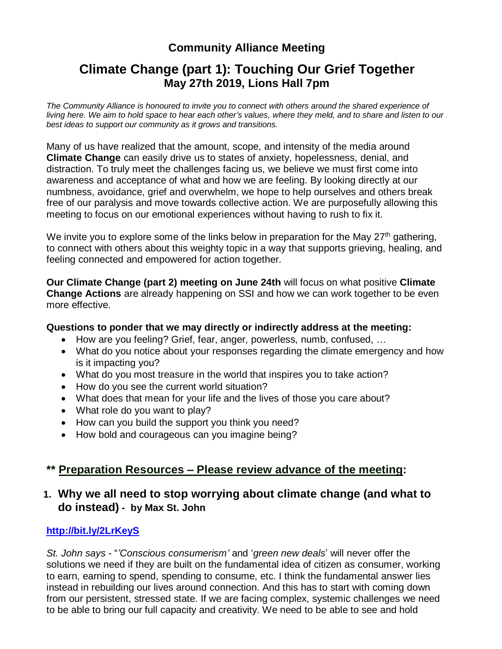## **Community Alliance Meeting**

# **Climate Change (part 1): Touching Our Grief Together May 27th 2019, Lions Hall 7pm**

*The Community Alliance is honoured to invite you to connect with others around the shared experience of* living here. We aim to hold space to hear each other's values, where they meld, and to share and listen to our *best ideas to support our community as it grows and transitions.*

Many of us have realized that the amount, scope, and intensity of the media around **Climate Change** can easily drive us to states of anxiety, hopelessness, denial, and distraction. To truly meet the challenges facing us, we believe we must first come into awareness and acceptance of what and how we are feeling. By looking directly at our numbness, avoidance, grief and overwhelm, we hope to help ourselves and others break free of our paralysis and move towards collective action. We are purposefully allowing this meeting to focus on our emotional experiences without having to rush to fix it.

We invite you to explore some of the links below in preparation for the May  $27<sup>th</sup>$  gathering, to connect with others about this weighty topic in a way that supports grieving, healing, and feeling connected and empowered for action together.

**Our Climate Change (part 2) meeting on June 24th** will focus on what positive **Climate Change Actions** are already happening on SSI and how we can work together to be even more effective.

#### **Questions to ponder that we may directly or indirectly address at the meeting:**

- How are you feeling? Grief, fear, anger, powerless, numb, confused, …
- What do you notice about your responses regarding the climate emergency and how is it impacting you?
- What do you most treasure in the world that inspires you to take action?
- How do you see the current world situation?
- What does that mean for your life and the lives of those you care about?
- What role do you want to play?
- How can you build the support you think you need?
- How bold and courageous can you imagine being?

### **\*\* Preparation Resources – Please review advance of the meeting:**

### **1. Why we all need to stop worrying about climate change (and what to do instead) - by Max St. [John](https://medium.com/@maxstjohn)**

#### **<http://bit.ly/2LrKeyS>**

*St. John says* - "*'Conscious consumerism'* and '*green new deals*' will never offer the solutions we need if they are built on the fundamental idea of citizen as consumer, working to earn, earning to spend, spending to consume, etc. I think the fundamental answer lies instead in rebuilding our lives around connection. And this has to start with coming down from our persistent, stressed state. If we are facing complex, systemic challenges we need to be able to bring our full capacity and creativity. We need to be able to see and hold